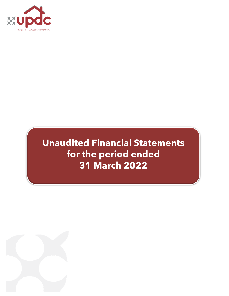

# **Unaudited Financial Statements for the period ended 31 March 2022**

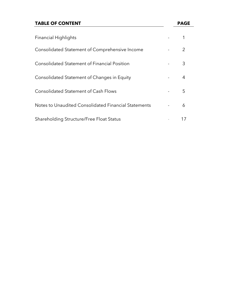# **TABLE OF CONTENT PAGE**

| <b>Financial Highlights</b>                          |   |
|------------------------------------------------------|---|
| Consolidated Statement of Comprehensive Income       |   |
| <b>Consolidated Statement of Financial Position</b>  | 3 |
| Consolidated Statement of Changes in Equity          | 4 |
| <b>Consolidated Statement of Cash Flows</b>          | 5 |
| Notes to Unaudited Consolidated Financial Statements | 6 |
| Shareholding Structure/Free Float Status             |   |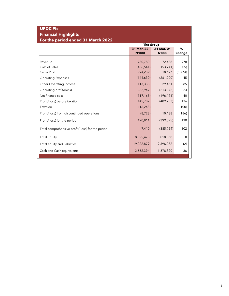# **UPDC Plc Financial Highlights For the period ended 31 March 2022**

|                                                  | <b>The Group</b> |              |          |  |
|--------------------------------------------------|------------------|--------------|----------|--|
|                                                  | 31 Mar. 22       | 31 Mar. 21   | %        |  |
|                                                  | <b>N'000</b>     | <b>N'000</b> | Change   |  |
|                                                  |                  |              |          |  |
| Revenue                                          | 780,780          | 72,438       | 978      |  |
| Cost of Sales                                    | (486, 541)       | (53, 741)    | (805)    |  |
| Gross Profit                                     | 294,239          | 18,697       | (1, 474) |  |
| <b>Operating Expenses</b>                        | (144, 630)       | (261, 200)   | 45       |  |
| Other Operating Income                           | 113,338          | 29,461       | 285      |  |
| Operating profit/(loss)                          | 262,947          | (213, 042)   | 223      |  |
| Net finance cost                                 | (117, 165)       | (196, 191)   | 40       |  |
| Profit/(loss) before taxation                    | 145,782          | (409, 233)   | 136      |  |
| Taxation                                         | (16, 243)        |              | (100)    |  |
| Profit/(loss) from discontinued operations       | (8, 728)         | 10,138       | (186)    |  |
| Profit/(loss) for the period                     | 120,811          | (399,095)    | 130      |  |
| Total comprehensive profit/(loss) for the period | 7,410            | (385, 754)   | 102      |  |
| <b>Total Equity</b>                              | 8,025,478        | 8,018,068    | 0        |  |
| Total equity and liabilities                     | 19,222,879       | 19,596,232   | (2)      |  |
| Cash and Cash equivalents                        | 2,552,394        | 1,878,320    | 36       |  |
|                                                  |                  |              |          |  |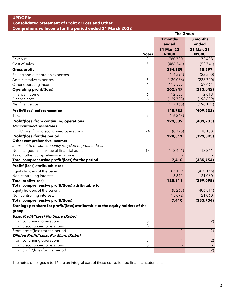|                                                                                | <b>The Group</b> |              |  |
|--------------------------------------------------------------------------------|------------------|--------------|--|
|                                                                                | 3 months         | 3 months     |  |
|                                                                                | ended            | ended        |  |
|                                                                                | 31 Mar. 22       | 31 Mar. 21   |  |
| <b>Notes</b>                                                                   | <b>N'000</b>     | <b>N'000</b> |  |
| 3<br>Revenue                                                                   | 780,780          | 72,438       |  |
| 5<br>Cost of sales                                                             | (486, 541)       | (53, 741)    |  |
| <b>Gross profit</b>                                                            | 294,239          | 18,697       |  |
| Selling and distribution expenses<br>5                                         | (14, 594)        | (22,500)     |  |
| 5<br>Administrative expenses                                                   | (130, 036)       | (238, 700)   |  |
| 4<br>Other operating income                                                    | 113,338          | 29,461       |  |
| <b>Operating profit/(loss)</b>                                                 | 262,947          | (213, 042)   |  |
| Finance income<br>6                                                            | 12,558           | 2,618        |  |
| 6<br>Finance cost                                                              | (129, 723)       | (198, 809)   |  |
| Net finance cost                                                               | (117, 165)       | (196, 191)   |  |
| <b>Profit/(loss) before taxation</b>                                           | 145,782          | (409, 233)   |  |
| 7<br>Taxation                                                                  | (16, 243)        |              |  |
| <b>Profit/(loss) from continuing operations</b>                                | 129,539          | (409, 233)   |  |
| <b>Discontinued operations</b>                                                 |                  |              |  |
| Profit/(loss) from discontinued operations<br>24                               | (8, 728)         | 10,138       |  |
| Profit/(loss) for the period                                                   | 120,811          | (399, 095)   |  |
| Other comprehensive income:                                                    |                  |              |  |
| Items not to be subsequently recycled to profit or loss:                       |                  |              |  |
| Net changes in fair value of financial assets<br>13                            | (113, 401)       | 13,341       |  |
| Tax on other comprehensive income                                              |                  |              |  |
| Total comprehensive profit/(loss) for the period                               | 7,410            | (385, 754)   |  |
| Profit/ (loss) attributable to:                                                |                  |              |  |
| Equity holders of the parent                                                   | 105,139          | (420, 155)   |  |
| Non controlling interest                                                       | 15,672           | 21,060       |  |
| <b>Total profit/(loss)</b>                                                     | 120,811          | (399, 095)   |  |
| Total comprehensive profit/(loss) attributable to:                             |                  |              |  |
| Equity holders of the parent                                                   | (8, 263)         | (406, 814)   |  |
| Non controlling interests                                                      | 15,672           | 21,060       |  |
| <b>Total comprehensive profit/(loss)</b>                                       | 7,410            | (385, 754)   |  |
| Earnings per share for profit/(loss) attributable to the equity holders of the |                  |              |  |
| group:                                                                         |                  |              |  |
| <b>Basic Profit/(Loss) Per Share (Kobo)</b>                                    |                  |              |  |
| 8<br>From continuing operations                                                | 1                | (2)          |  |
| From discontinued operations<br>8                                              |                  |              |  |
| From profit/(loss) for the period                                              | 1                | (2)          |  |
| Diluted Profit/(Loss) Per Share (Kobo)                                         |                  |              |  |
| 8<br>From continuing operations                                                | $\mathbf 1$      | (2)          |  |
| From discontinued operations<br>8                                              |                  |              |  |
| From profit/(loss) for the period                                              | $\mathbf{1}$     | (2)          |  |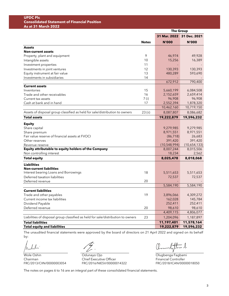#### **UPDC Plc Consolidated Statement of Financial Position As at 31 March 2022**

|                                                                                  |              | <b>The Group</b>          |              |  |
|----------------------------------------------------------------------------------|--------------|---------------------------|--------------|--|
|                                                                                  |              | 31 Mar. 2022 31 Dec. 2021 |              |  |
|                                                                                  | <b>Notes</b> | <b>N'000</b>              | <b>N'000</b> |  |
| <b>Assets</b>                                                                    |              |                           |              |  |
| <b>Non-current assets</b>                                                        |              |                           |              |  |
| Property, plant and equipment                                                    | 9            | 46,974                    | 49,928       |  |
| Intangible assets                                                                | 10           | 15,256                    | 16,389       |  |
| Investment properties                                                            | 11           |                           |              |  |
| Investments in joint ventures                                                    | 12           | 130,393                   | 130,393      |  |
| Equity instrument at fair value                                                  | 13           | 480,289                   | 593,690      |  |
| Investments in subsidiaries                                                      | 14           |                           |              |  |
|                                                                                  |              | 672,912                   | 790,400      |  |
| <b>Current assets</b>                                                            |              |                           |              |  |
| Inventories                                                                      | 15           | 5,660,199                 | 6,084,508    |  |
| Trade and other receivables                                                      | 16           | 2,152,659                 | 2,659,414    |  |
| Current tax assets                                                               | 7(i)         | 96,908                    | 96,908       |  |
| Cash at bank and in hand                                                         | 17           | 2,552,394                 | 1,878,320    |  |
|                                                                                  |              | 10,462,160                | 10,719,150   |  |
| Assets of disposal group classified as held for sale/distribution to owners      | 23 (ii)      | 8,087,807                 | 8,086,682    |  |
| <b>Total assets</b>                                                              |              | 19,222,879                | 19,596,232   |  |
| <b>Equity</b>                                                                    |              |                           |              |  |
| Share capital                                                                    |              | 9,279,985                 | 9,279,985    |  |
| Share premium                                                                    |              | 8,971,551                 | 8,971,551    |  |
| Fair value reserve of financial assets at FVOCI                                  |              | (86, 718)                 | 26,683       |  |
| Other reserves                                                                   |              | 391,420                   | 391,420      |  |
| Revenue reserve                                                                  |              | (10, 548, 994)            | (10,654,133) |  |
| Equity attributable to equity holders of the Company                             |              | 8,007,244                 | 8,015,506    |  |
| Non controlling interest                                                         |              | 18,234                    | 2,562        |  |
| <b>Total equity</b>                                                              |              | 8,025,478                 | 8,018,068    |  |
| <b>Liabilities</b>                                                               |              |                           |              |  |
| <b>Non-current liabilities</b>                                                   |              |                           |              |  |
| Interest bearing Loans and Borrowings                                            | 18           | 5,511,653                 | 5,511,653    |  |
| Deferred taxation liabilities                                                    |              | 72,537                    | 72,537       |  |
| Deferred revenue                                                                 | 20           |                           |              |  |
|                                                                                  |              | 5,584,190                 | 5,584,190    |  |
| <b>Current liabilities</b>                                                       |              |                           |              |  |
| Trade and other payables                                                         | 19           | 3,896,066                 | 4,309,272    |  |
| Current income tax liabilities                                                   |              | 162,028                   | 145,784      |  |
| Dividend Payable                                                                 |              | 252,411                   | 252,411      |  |
| Deferred revenue                                                                 | 20           | 98,610                    | 98,610       |  |
|                                                                                  |              | 4,409,115                 | 4,806,077    |  |
| Liabilities of disposal group classified as held for sale/distribution to owners | 23           | 1,204,096                 | 1,187,897    |  |
| <b>Total liabilities</b>                                                         |              | 11,197,401                | 11,578,164   |  |
| <b>Total equity and liabilities</b>                                              |              | 19,222,879                | 19,596,232   |  |

The unaudited financial statements were approved by the board of directors on 21 April 2022 and signed on its behalf by:

Wole Oshin **Odunayo Ojo Odunayo Ojo Olugbenga Fagbami** 

Chairman Chief Executive Officer Financial Controller<br>FRC/2013/CIIN/00000003054 FRC/2016/NIESV/00000014322 FRC/2018/ICAN/00000018050 FRC/2016/NIESV/00000014322

 $l_1^{\dagger}l_-\lambda$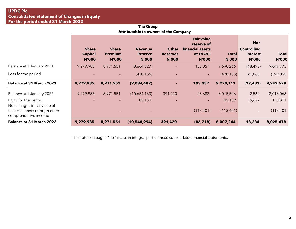| <b>The Group</b>                             |  |
|----------------------------------------------|--|
| <b>Attributable to owners of the Company</b> |  |

|                                                                                        | <b>Share</b><br><b>Capital</b><br><b>N'000</b> | <b>Share</b><br><b>Premium</b><br><b>N'000</b> | <b>Revenue</b><br><b>Reserve</b><br><b>N'000</b> | <b>Other</b><br><b>Reserves</b><br><b>N'000</b> | <b>Fair value</b><br>reserve of<br>financial assets<br>at FVOCI<br><b>N'000</b> | <b>Total</b><br><b>N'000</b> | <b>Non</b><br><b>Controlling</b><br>interest<br><b>N'000</b> | <b>Total</b><br><b>N'000</b> |
|----------------------------------------------------------------------------------------|------------------------------------------------|------------------------------------------------|--------------------------------------------------|-------------------------------------------------|---------------------------------------------------------------------------------|------------------------------|--------------------------------------------------------------|------------------------------|
| Balance at 1 January 2021                                                              | 9,279,985                                      | 8,971,551                                      | (8,664,327)                                      |                                                 | 103,057                                                                         | 9,690,266                    | (48, 493)                                                    | 9,641,773                    |
| Loss for the period                                                                    |                                                | $\sim$                                         | (420, 155)                                       |                                                 | $\overline{\phantom{0}}$                                                        | (420, 155)                   | 21,060                                                       | (399,095)                    |
| <b>Balance at 31 March 2021</b>                                                        | 9,279,985                                      | 8,971,551                                      | (9,084,482)                                      |                                                 | 103,057                                                                         | 9,270,111                    | (27, 433)                                                    | 9,242,678                    |
| Balance at 1 January 2022                                                              | 9,279,985                                      | 8,971,551                                      | (10,654,133)                                     | 391,420                                         | 26,683                                                                          | 8,015,506                    | 2,562                                                        | 8,018,068                    |
| Profit for the period                                                                  |                                                |                                                | 105,139                                          |                                                 | $\overline{\phantom{0}}$                                                        | 105,139                      | 15,672                                                       | 120,811                      |
| Net changes in fair value of<br>financial assets through other<br>comprehensive income |                                                |                                                |                                                  |                                                 | (113, 401)                                                                      | (113, 401)                   |                                                              | (113,401)                    |
| <b>Balance at 31 March 2022</b>                                                        | 9,279,985                                      | 8,971,551                                      | (10, 548, 994)                                   | 391,420                                         | (86, 718)                                                                       | 8,007,244                    | 18,234                                                       | 8,025,478                    |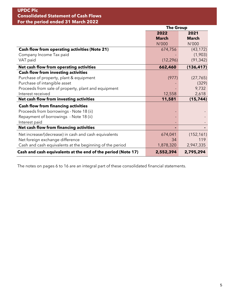# **UPDC Plc Consolidated Statement of Cash Flows For the period ended 31 March 2022**

|                                                              | <b>The Group</b> |              |  |
|--------------------------------------------------------------|------------------|--------------|--|
|                                                              | 2022             | 2021         |  |
|                                                              | <b>March</b>     | <b>March</b> |  |
|                                                              | N'000            | N'000        |  |
| <b>Cash flow from operating activities (Note 21)</b>         | 674,756          | (43, 172)    |  |
| Company Income Tax paid                                      |                  | (1,903)      |  |
| VAT paid                                                     | (12, 296)        | (91, 342)    |  |
| Net cash flow from operating activities                      | 662,460          | (136, 417)   |  |
| <b>Cash flow from investing activities</b>                   |                  |              |  |
| Purchase of property, plant & equipment                      | (977)            | (27, 765)    |  |
| Purchase of intangible asset                                 |                  | (329)        |  |
| Proceeds from sale of property, plant and equipment          |                  | 9,732        |  |
| Interest received                                            | 12,558           | 2,618        |  |
| Net cash flow from investing activities                      | 11,581           | (15, 744)    |  |
| <b>Cash flow from financing activities</b>                   |                  |              |  |
| Proceeds from borrowings - Note 18 (ii)                      |                  |              |  |
| Repayment of borrowings - Note 18 (ii)                       |                  |              |  |
| Interest paid                                                |                  |              |  |
| Net cash flow from financing activities                      |                  |              |  |
| Net increase/(decrease) in cash and cash equivalents         | 674,041          | (152, 161)   |  |
| Net foreign exchange difference                              | 34               | 119          |  |
| Cash and cash equivalents at the beginning of the period     | 1,878,320        | 2,947,335    |  |
| Cash and cash equivalents at the end of the period (Note 17) | 2,552,394        | 2,795,294    |  |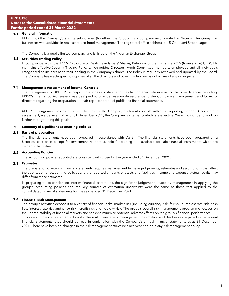#### **1.1 General information**

UPDC Plc ('the Company') and its subsidiaries (together 'the Group') is a company incorporated in Nigeria. The Group has businesses with activities in real estate and hotel management. The registered office address is 1-5 Odunlami Street, Lagos.

The Company is a public limited company and is listed on the Nigerian Exchange Group.

#### **1.2 Securities Trading Policy**

In compliance with Rule 17.15 Disclosure of Dealings in Issuers' Shares, Rulebook of the Exchange 2015 (Issuers Rule) UPDC Plc maintains effective Security Trading Policy which guides Directors, Audit Committee members, employees and all individuals categorized as insiders as to their dealing in the Company's shares. The Policy is regularly reviewed and updated by the Board. The Company has made specific inquiries of all the directors and other insiders and is not aware of any infringement.

#### **1.3 Management's Assessment of Internal Controls**

The management of UPDC Plc is responsible for establishing and maintaining adequate internal control over financial reporting. UPDC's internal control system was designed to provide reasonable assurance to the Company's management and board of directors regarding the preparation and fair representation of published financial statements.

UPDC's management assessed the effectiveness of the Company's internal controls within the reporting period. Based on our assessment, we believe that as of 31 December 2021, the Company's internal controls are effective. We will continue to work on further strengthening this position.

#### **2. Summary of significant accounting policies**

#### **2.1 Basis of preparation**

The financial statements have been prepared in accordance with IAS 34. The financial statements have been prepared on a historical cost basis except for Investment Properties, held for trading and available for sale financial instruments which are carried at fair value.

#### **2.2 Accounting Policies**

The accounting policies adopted are consistent with those for the year ended 31 December, 2021.

#### **2.3 Estimates**

The preparation of interim financial statements requires management to make judgements, estimates and assumptions that affect the application of accounting policies and the reported amounts of assets and liabilities, income and expense. Actual results may differ from these estimates.

In preparing these condensed interim financial statements, the significant judgements made by management in applying the group's accounting policies and the key sources of estimation uncertainty were the same as those that applied to the consolidated financial statements for the year ended 31 December 2021.

#### **2.4 Financial Risk Management**

The group's activities expose it to a variety of financial risks: market risk (including currency risk, fair value interest rate risk, cash flow interest rate risk and price risk), credit risk and liquidity risk. The group's overall risk management programme focuses on the unpredictability of financial markets and seeks to minimise potential adverse effects on the group's financial performance. This interim financial statements do not include all financial risk management information and disclosures required in the annual financial statements; they should be read in conjunction with the Company's annual financial statements as at 31 December 2021. There have been no changes in the risk management structure since year end or in any risk management policy.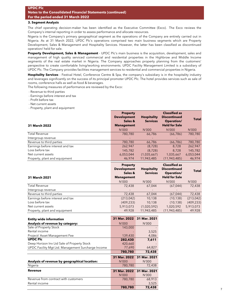#### **3. Segment Analysis**

The chief operating decision-maker has been identified as the Executive Committee (Exco). The Exco reviews the Company's internal reporting in order to assess performance and allocate resources.

Nigeria is the Company's primary geographical segment as the operations of the Company are entirely carried out in Nigeria. As at 31 March 2022, UPDC Plc's operations comprised two main business segments which are Property Development, Sales & Management and Hospitality Services. However, the latter has been classified as discontinued operation/ held for sale.

**Property Development, Sales & Management** - UPDC Plc's main business is the acquisition, development, sales and management of high quality serviced commercial and residential properties in the Highbrow and Middle Income segments of the real estate market in Nigeria. The Company approaches property planning from the customers' perspective to create comfortable living/working environments. UPDC Facility Management Limited is a subsidiary of UPDC Plc. The Company provides facilities management services to residential and commercial properties in Nigeria.

**Hospitality Services** - Festival Hotel, Conference Centre & Spa, the company's subsidiary is in the hospitality industry and leverages significantly on the success of its principal promoter UPDC Plc. The hotel provides services such as sale of rooms, conference halls as well as food & beverages.

The following measures of performance are reviewed by the Exco:

- Revenue to third parties

- Earnings before interest and tax
- Profit before tax
- Net current assets
- Property, plant and equipment

| 31 March 2022                    | <b>Property</b><br><b>Development</b><br>Sales &<br><b>Management</b> | <b>Hospitality</b><br><b>Services</b> | <b>Classified as</b><br><b>Discontinued</b><br><b>Operation/</b><br><b>Held for Sale</b> | <b>Total</b> |
|----------------------------------|-----------------------------------------------------------------------|---------------------------------------|------------------------------------------------------------------------------------------|--------------|
|                                  | N'000                                                                 | N'000                                 | N'000                                                                                    | N'000        |
| <b>Total Revenue</b>             | 780,780                                                               | 66,786                                | (66, 786)                                                                                | 780,780      |
| Intergroup revenue               |                                                                       | $\overline{\phantom{a}}$              |                                                                                          |              |
| Revenue to third parties         | 780,780                                                               | 66,786                                | (66, 786)                                                                                | 780,780      |
| Earnings before interest and tax | 262,947                                                               | (8, 728)                              | 8,728                                                                                    | 262,947      |
| Loss before tax                  | 145,782                                                               | (8, 728)                              | 8,728                                                                                    | 145,782      |
| Net current assets               | 6,053,044                                                             | (1,035,667)                           | 1,035,667                                                                                | 6,053,044    |
| Property, plant and equipment    | 46,974                                                                | 11,943,485                            | (11, 943, 485)                                                                           | 46,974       |

| 31 March 2021                    | <b>Property</b><br><b>Development</b><br>Sales &<br><b>Management</b> | <b>Hospitality</b><br><b>Services</b> | <b>Classified as</b><br><b>Discontinued</b><br>Operation/<br><b>Held for Sale</b> | <b>Total</b> |
|----------------------------------|-----------------------------------------------------------------------|---------------------------------------|-----------------------------------------------------------------------------------|--------------|
|                                  | N'000                                                                 | N'000                                 | N'000                                                                             | N'000        |
| <b>Total Revenue</b>             | 72,438                                                                | 67.044                                | (67, 044)                                                                         | 72,438       |
| Intergroup revenue               |                                                                       |                                       |                                                                                   |              |
| Revenue to third parties         | 72,438                                                                | 67,044                                | (67, 044)                                                                         | 72,438       |
| Earnings before interest and tax | (213, 042)                                                            | 10,138                                | (10, 138)                                                                         | (213, 042)   |
| Loss before tax                  | (409, 233)                                                            | 10,138                                | (10, 138)                                                                         | (409, 233)   |
| Net current assets               | 5,913,073                                                             | (1,020,592)                           | 1,020,592                                                                         | 5,913,073    |
| Property, plant and equipment    | 49.928                                                                | 11,943,485                            | (11, 943, 485)                                                                    | 49,928       |

| <b>Entity wide information</b>                     | 31 Mar. 2022 31 Mar. 2021 |              |
|----------------------------------------------------|---------------------------|--------------|
| Analysis of revenue by category:                   | N'000                     | N'000        |
| Sale of Property Stock                             | 143,000                   |              |
| Rental income                                      |                           | 3,525        |
| Project/Asset Management Fee                       | 139,430                   | 4,086        |
| <b>UPDC Plc</b>                                    | 282,430                   | 7.611        |
| Deep Horizon Inv Ltd Sale of Property Stock        | 420,660                   |              |
| UPDC Facility Mgt Ltd. Management Surcharge Income | 77,690                    | 64,827       |
|                                                    | 780,780                   | 72,438       |
|                                                    | 31 Mar. 2022              | 31 Mar. 2021 |
| Analysis of revenue by geographical location:      | N'000                     | N'000        |
| Nigeria                                            | 780,780                   | 72,438       |
| Revenue                                            | 31 Mar. 2022              | 31 Mar. 2021 |
|                                                    | N'000                     | N'000        |
| Revenue from contract with customers               | 780.780                   | 68,913       |
| Rental income                                      |                           | 3,525        |
|                                                    | 780,780                   | 72,438       |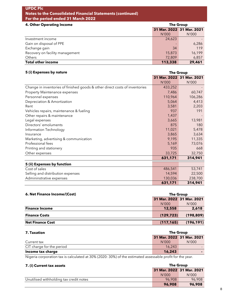| 4. Other Operating Income       | <b>The Group</b> |                           |
|---------------------------------|------------------|---------------------------|
|                                 |                  | 31 Mar. 2022 31 Mar. 2021 |
|                                 | N'000            | N'000                     |
| Investment income               | 24,623           |                           |
| Gain on disposal of PPE         |                  | 6,286                     |
| Exchange gain                   | 34               | 119                       |
| Recovery on facility management | 15,873           | 16,199                    |
| Others                          | 72,809           | 6,857                     |
| <b>Total other income</b>       | 113,338          | 29,461                    |

**The Group**

## **31 Mar. 2022 31 Mar. 2021** N'000 N'000 Change in inventories of finished goods & other direct costs of inventories 433,252 Property Maintenance expenses and the control of the control of the control of the control of the control of the control of the control of the control of the control of the control of the control of the control of the cont Personnel expenses 110,964 106,286 Depreciation & Amortization 5,064 4,413 Rent 3,581 2,203 Vehicles repairs, maintenance & fueling 191 191 191 191 Other repairs & maintenance 1,437 Legal expenses 2,665 13,981 Directors' emoluments 875 180 Information Technology 11,021 5,478  $\blacksquare$ Insurance  $\blacksquare$ 3,634  $\blacksquare$ Marketing, advertising & communication 6 and 11,335 11,335 Professional fees 5,169 73,076 Printing and stationery **935** 668 Other expenses 33,725 32,750  **631,171 314,941 5 (ii) Expenses by function**

| <b>S</b> (II) EXPENSES BY IMILION |         |         |
|-----------------------------------|---------|---------|
| Cost of sales                     | 486,541 | 53.741  |
| Selling and distribution expenses | 14.594  | 22,500  |
| Admininstrative expenses          | 130,036 | 238,700 |
|                                   | 631.171 | 314.941 |

| <b>6. Net Finance Income/(Cost)</b> | The Group  |                           |
|-------------------------------------|------------|---------------------------|
|                                     |            | 31 Mar. 2022 31 Mar. 2021 |
|                                     | N'000      | N'000                     |
| <b>Finance Income</b>               | 12,558     | 2,618                     |
| <b>Finance Costs</b>                | (129, 723) | (198, 809)                |
| <b>Net Finance Cost</b>             | (117, 165) | (196, 191)                |

| <b>7. Taxation</b>        | The Group                 |       |
|---------------------------|---------------------------|-------|
|                           | 31 Mar. 2022 31 Mar. 2021 |       |
| Current tax               | N'000                     | N'000 |
| CIT charge for the period | 16,243                    |       |
| Income tax charge         | 16,243                    |       |

Nigeria corporation tax is calculated at 30% (2020: 30%) of the estimated assessable profit for the year.

#### **7. (i) Current tax assets**

**5 (i) Expenses by nature**

| 7. (i) Current tax assets               | The Group                 |        |  |
|-----------------------------------------|---------------------------|--------|--|
|                                         | 31 Mar. 2022 31 Mar. 2021 |        |  |
|                                         | N'000                     | N'000  |  |
| Unutilised withholding tax credit notes | 96.908                    | 96.908 |  |
|                                         | 96,908                    | 96,908 |  |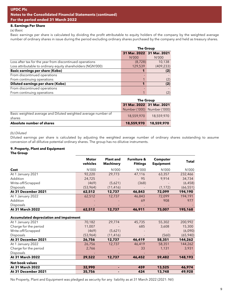#### **8. Earnings Per Share**

*(a) Basic*

Basic earnings per share is calculated by dividing the profit attributable to equity holders of the company by the weighted average number of ordinary shares in issue during the period excluding ordinary shares purchased by the company and held as treasury shares.

|                                                             |         | <b>The Group</b>          |  |  |
|-------------------------------------------------------------|---------|---------------------------|--|--|
|                                                             |         | 31 Mar. 2022 31 Mar. 2021 |  |  |
|                                                             | N'000   | N'000                     |  |  |
| Loss after tax for the year from discontinued operations    | (8,728) | 10,138                    |  |  |
| Loss attributable to ordinary equity shareholders (NGN'000) | 129,539 | (409, 233)                |  |  |
| <b>Basic earnings per share (Kobo)</b>                      |         | (2)                       |  |  |
| From discontinued operations                                |         |                           |  |  |
| From continuing operations                                  |         | (2)                       |  |  |
| Diluted earnings per share (Kobo)                           |         | (2)                       |  |  |
| From discontinued operations                                |         |                           |  |  |
| From continuing operations                                  |         | (2)                       |  |  |
|                                                             |         |                           |  |  |

|                                                                         | The Group                 |                             |  |
|-------------------------------------------------------------------------|---------------------------|-----------------------------|--|
|                                                                         | 31 Mar. 2022 31 Mar. 2021 |                             |  |
|                                                                         |                           | Number ('000) Number ('000) |  |
| Basic weighted average and Diluted weighted average number of<br>shares | 18,559,970                | 18,559,970                  |  |
| Absolute number of shares                                               | 18,559,970                | 18,559,970                  |  |

*(b) Diluted*

Diluted earnings per share is calculated by adjusting the weighted average number of ordinary shares outstanding to assume conversion of all dillutive potential ordinary shares. The group has no dilutive instruments.

#### **9. Property, Plant and Equipment**

**The Group**

|                                                | <b>Motor</b><br>vehicles | <b>Plant and</b><br><b>Machinery</b> | <b>Furniture &amp;</b><br><b>Fittings</b> | <b>Computer</b><br><b>Equipment</b> | <b>Total</b> |
|------------------------------------------------|--------------------------|--------------------------------------|-------------------------------------------|-------------------------------------|--------------|
| Cost                                           | N'000                    | N'000                                | N'000                                     | N'000                               | N'000        |
| At 1 January 2021                              | 92,220                   | 29,773                               | 47,116                                    | 63,357                              | 232,466      |
| Addition                                       | 24,725                   |                                      | 95                                        | 9,914                               | 34,734       |
| Write-off/Scrapped                             | (469)                    | (5,621)                              | (368)                                     |                                     | (6, 458)     |
| Disposals                                      | (53,964)                 | (11, 416)                            |                                           | (1, 172)                            | (66, 551)    |
| At 31 December 2021                            | 62,512                   | 12,737                               | 46,843                                    | 72,099                              | 194,190      |
| At 1 January 2022                              | 62,512                   | 12,737                               | 46,843                                    | 72,099                              | 194,191      |
| Addition                                       |                          |                                      | 69                                        | 908                                 | 977          |
| Disposals                                      |                          |                                      |                                           |                                     |              |
| At 31 March 2022                               | 62,512                   | 12,737                               | 46,911                                    | 73,007                              | 195,168      |
| <b>Accumulated depreciation and impairment</b> |                          |                                      |                                           |                                     |              |
| At 1 January 2021                              | 70,182                   | 29,774                               | 45,735                                    | 55,302                              | 200,992      |
| Charge for the period                          | 11,007                   |                                      | 685                                       | 3,608                               | 15,300       |
| Write-off/Scrapped                             | (469)                    | (5,621)                              |                                           |                                     | (6,090)      |
| Disposals                                      | (53,964)                 | (11, 416)                            |                                           | (560)                               | (65, 940)    |
| At 31 December 2021                            | 26,756                   | 12,737                               | 46,419                                    | 58,351                              | 144,262      |
| At 1 January 2022                              | 26,756                   | 12,737                               | 46,419                                    | 58,351                              | 144,262      |
| Charge for the period                          | 2,766                    |                                      | 33                                        | 1,131                               | 3,931        |
| Disposals                                      |                          |                                      |                                           |                                     |              |
| At 31 March 2022                               | 29,522                   | 12,737                               | 46,452                                    | 59,482                              | 148,193      |
| <b>Net book values</b>                         |                          |                                      |                                           |                                     |              |
| At 31 March 2022                               | 32,990                   |                                      | 459                                       | 13,525                              | 46,974       |
| At 31 December 2021                            | 35,756                   |                                      | 424                                       | 13,748                              | 49,928       |

No Property, Plant and Equipment was pledged as security for any liability as at 31 March 2022 (2021: Nil)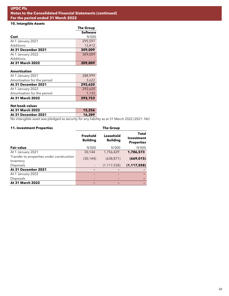# **10. Intangible Assets**

|                         | <b>The Group</b> |  |
|-------------------------|------------------|--|
|                         | <b>Software</b>  |  |
| Cost                    | N'000            |  |
| At 1 January 2021       | 295,597          |  |
| Additions               | 13,412           |  |
| At 31 December 2021     | 309,009          |  |
| At 1 January 2022       | 309,009          |  |
| Additions               |                  |  |
| <b>At 31 March 2022</b> | 309,009          |  |
| <b>Amortisation</b>     |                  |  |
| At 1 January 2021       | 288,999          |  |

| $\ldots$ $\ldots$           |         |
|-----------------------------|---------|
| Amortisation for the period | 3,622   |
| At 31 December 2021         | 292,620 |
| At 1 January 2022           | 292.620 |
| Amortisation for the period | 1.133   |
| <b>At 31 March 2022</b>     | 293,753 |

| <b>Net book values</b> |        |
|------------------------|--------|
| At 31 March 2022       | 15,256 |
| At 31 December 2021    | 16,389 |
|                        |        |

No intangible asset was pledged as security for any liability as at 31 March 2022 (2021: Nil)

| <b>11. Investment Properties</b>                         | The Group                          |                              |                                          |  |
|----------------------------------------------------------|------------------------------------|------------------------------|------------------------------------------|--|
|                                                          | <b>Freehold</b><br><b>Building</b> | Leasehold<br><b>Building</b> | Total<br>Investment<br><b>Properties</b> |  |
| <b>Fair value</b>                                        | N'000                              | N'000                        | N'000                                    |  |
| At 1 January 2021                                        | 30.144                             | 1,756,429                    | 1,786,573                                |  |
| Transfer to properties under construction -<br>Inventory | (30, 144)                          | (638, 871)                   | (669, 015)                               |  |
| Disposals                                                |                                    | (1, 117, 558)                | (1, 117, 558)                            |  |
| At 31 December 2021                                      | ٠                                  |                              |                                          |  |
| At 1 January 2022                                        |                                    |                              |                                          |  |
| Disposals                                                |                                    |                              |                                          |  |
| <b>At 31 March 2022</b>                                  |                                    | ٠                            |                                          |  |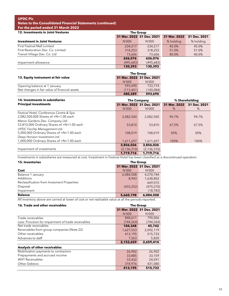| <b>12. Investments in Joint Ventures</b> |           | <b>The Group</b>          |              |              |
|------------------------------------------|-----------|---------------------------|--------------|--------------|
|                                          |           | 31 Mar. 2022 31 Dec. 2021 | 31 Mar. 2022 | 31 Dec. 2021 |
| <b>Investment in Joint Ventures</b>      | N'000     | N'000                     | % holding    | % holding    |
| <b>First Festival Mall Limited</b>       | 234,217   | 234.217                   | 45.0%        | 45.0%        |
| First Restoration Dev. Co. Limited       | 318,253   | 318,253                   | 51.0%        | 51.0%        |
| Transit Village Dev. Co. Ltd             | 73,606    | 73,606                    | 40.0%        | 40.0%        |
|                                          | 626,076   | 626,076                   |              |              |
| Impairment allowance                     | (495,683) | (495,683)                 |              |              |
|                                          | 130,393   | 130,393                   |              |              |

|                                               | The Group                 |            |  |
|-----------------------------------------------|---------------------------|------------|--|
| 13. Equity instrument at fair value           | 31 Mar. 2022 31 Dec. 2021 |            |  |
|                                               | N'000                     | N'000      |  |
| Opening balance at 1 January                  | 593,690                   | 733.774    |  |
| Net changes in fair value of financial assets | (113.401)                 | (140, 084) |  |
|                                               | 480,289                   | 593,690    |  |

| 14. Investments in subsidiaries                                                   | <b>The Company</b> |                           | % Shareholding |              |
|-----------------------------------------------------------------------------------|--------------------|---------------------------|----------------|--------------|
| <b>Principal investments</b>                                                      |                    | 31 Mar. 2022 31 Dec. 2021 | 31 Mar. 2022   | 31 Dec. 2021 |
|                                                                                   | N'000              | N'000                     | %              | %            |
| Festival Hotel, Conference Centre & Spa<br>2,082,500,000 Shares of =N=1.00 each   | 2,082,500          | 2,082,500                 | 94.7%          | 94.7%        |
| Manor Gardens Dev. Company Ltd.<br>53,810,000 Ordinary Shares of =N=1.00 each     | 53,810             | 53,810                    | 67.5%          | 67.5%        |
| <b>UPDC Facility Management Ltd.</b><br>5,000,000 Ordinary Shares of =N=1.00 each | 108,019            | 108,019                   | 50%            | 50%          |
| Deep Horizon Investment Ltd.<br>1,000,000 Ordinary Shares of =N=1.00 each         | 1,611,697          | 1,611,697                 | 100%           | 100%         |
|                                                                                   | 3,856,026          | 3,856,026                 |                |              |
| Impairment of investments                                                         | (2, 136, 310)      | (2, 136, 310)             |                |              |
|                                                                                   | 1.719.716          | 1,719,716                 |                |              |

Investments in subsidiaries are measured at cost. Investment in Festival Hotel has been classified as a discontinued operation.

| <b>15. Inventories</b>                     | <b>The Group</b>          |            |
|--------------------------------------------|---------------------------|------------|
|                                            | 31 Mar. 2022 31 Dec. 2021 |            |
| Cost                                       | N'000                     | N'000      |
| Balance 1 January                          | 6,084,508                 | 4,270,744  |
| Additions                                  | 8.943                     | 1,638,802  |
| Reclassification from Invesment Properties |                           | 669,015    |
| Disposal                                   | (433, 252)                | (475, 270) |
| Impairment                                 |                           | (18, 783)  |
| <b>Balance</b>                             | 5,660,198                 | 6,084,508  |

All Inventory above are carried at lower of cost or net realisable value at all the periods reported.

| 16. Trade and other receivables                     | <b>The Group</b>          |            |
|-----------------------------------------------------|---------------------------|------------|
|                                                     | 31 Mar. 2022 31 Dec. 2021 |            |
|                                                     | N'000                     | N'000      |
| Trade receivables                                   | 848,611                   | 790,006    |
| Less: Provision for impairment of trade receivables | (744,264)                 | (744, 264) |
| Net trade receivables                               | 104,348                   | 45,742     |
| Receivables from group companies (Note 22)          | 1,627,553                 | 2,092,119  |
| Other receivables                                   | 413,195                   | 515,733    |
| Advances to staff                                   | 7,563                     | 5,820      |
|                                                     | 2,152,659                 | 2,659,414  |
| Analysis of other receivables                       |                           |            |
| Mobilization payments to contractors                | 26,902                    | 26,902     |
| Prepayments and accrued income                      | 33,885                    | 33,159     |
| <b>WHT Receivables</b>                              | 33,432                    | 24,591     |
| <b>Other Debtors</b>                                | 318,976                   | 431,080    |
|                                                     | 413,195                   | 515,733    |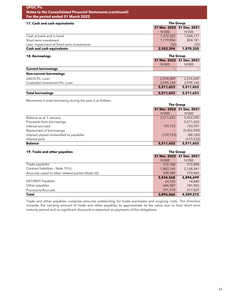| <b>UPDC Plc</b><br><b>Notes to the Consolidated Financial Statements (continued)</b><br>For the period ended 31 March 2022 |                           |                           |
|----------------------------------------------------------------------------------------------------------------------------|---------------------------|---------------------------|
| 17. Cash and cash equivalents                                                                                              | The Group                 |                           |
|                                                                                                                            | 31 Mar. 2022 31 Dec. 2021 |                           |
|                                                                                                                            | N'000                     | N'000                     |
| Cash at bank and in hand                                                                                                   | 1,372,522                 | 1,044,171                 |
| Short term investment                                                                                                      | 1,179,904                 | 834,181                   |
| Less: Impairment of Short term investments                                                                                 | (32)                      | (32)                      |
| <b>Cash and cash equivalents</b>                                                                                           | 2,552,394                 | 1,878,320                 |
| <b>18. Borrowings</b>                                                                                                      | <b>The Group</b>          |                           |
|                                                                                                                            |                           | 31 Mar. 2022 31 Dec. 2021 |
|                                                                                                                            | N'000                     | N'000                     |
| <b>Current borrowings</b>                                                                                                  | ۰                         |                           |
| <b>Non-current borrowings</b>                                                                                              |                           |                           |
| <b>UACN Plc. Loan</b>                                                                                                      | 2,516,509                 | 2,516,509                 |
| Custodian Investment Plc. Loan                                                                                             | 2,995,144                 | 2,995,144                 |
|                                                                                                                            | 5,511,653                 | 5,511,653                 |
| <b>Total borrowings</b>                                                                                                    | 5,511,653                 | 5,511,653                 |

*Movement in total borrowing during the year is as follows:*

|                                          | <b>The Group</b>          |             |
|------------------------------------------|---------------------------|-------------|
|                                          | 31 Mar. 2022 31 Dec. 2021 |             |
|                                          | N'000                     | N'000       |
| Balance as at 1 January                  | 5,511,653                 | 5,422,500   |
| Proceeds from borrowings                 |                           | 5,511,653   |
| Interest accrued                         | 129,723                   | 763,707     |
| Repayment of borrowings                  |                           | (5,422,500) |
| Interest unpaid reclassified to payables | (129, 723)                | (88, 185)   |
| Interest paid                            |                           | (675, 522)  |
| <b>Balance</b>                           | 5,511,653                 | 5,511,653   |

| 19. Trade and other payables                    | <b>The Group</b> |                           |
|-------------------------------------------------|------------------|---------------------------|
|                                                 |                  | 31 Mar. 2022 31 Dec. 2021 |
|                                                 | N'000            | N'000                     |
| Trade payables                                  | 512,760          | 515,898                   |
| Contract liabilities - Note 19 (i).             | 1,883,769        | 2,168,341                 |
| Amounts owed to other related parties (Note 22) | 438,040          | 210,460                   |
|                                                 | 2,834,568        | 2.894.699                 |
| VAT/WHT Payables                                | 24,533           | 14,840                    |
| Other payables                                  | 444.987          | 781,905                   |
| Provisions/Accruals                             | 591.978          | 617,829                   |
| <b>Total</b>                                    | 3,896,066        | 4,309,272                 |

Trade and other payables comprise amounts outstanding for trade purchases and ongoing costs. The Directors consider the carrying amount of trade and other payables to approximate its fair value due to their short term maturity period and no significant discounts is expected on payments of the obligations.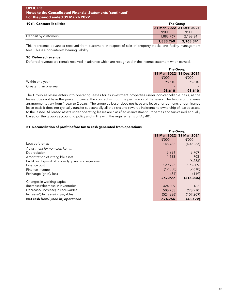# **19 (i). Contract liabilities**

| <b>17 (1). Contract nabilities</b> | <b>THE AINAN</b>          |           |
|------------------------------------|---------------------------|-----------|
|                                    | 31 Mar. 2022 31 Dec. 2021 |           |
|                                    | N'000                     | N'000     |
| Deposit by customers               | 1.883.769                 | 2,168,341 |
|                                    | 1,883,769                 | 2.168.341 |

**The Group**

This represents advances received from customers in respect of sale of property stocks and facility management fees. This is a non-interest bearing liability.

#### **20. Deferred revenue**

Deferred revenue are rentals received in advance which are recognized in the income statement when earned.

|                       | <b>The Group</b> |                           |
|-----------------------|------------------|---------------------------|
|                       |                  | 31 Mar. 2022 31 Dec. 2021 |
|                       | N'000            | N'000                     |
| Within one year       | 98,610           | 98,610                    |
| Greater than one year |                  |                           |
|                       | 98,610           | 98,610                    |

The Group as lessor enters into operating leases for its investment properties under non-cancellable basis, as the lessee does not have the power to cancel the contract without the permission of the lessor. The tenure of the lease arrangements vary from 1 year to 2 years. The group as lessor does not have any lease arrangements under finance lease basis it does not typically transfer substantially all the risks and rewards incidental to ownership of leased assets to the lessee. All leased assets under operating leases are classified as Investment Properties and fair-valued annually based on the group's accounting policy and in line with the requirements of IAS 40".

#### **21. Reconciliation of profit before tax to cash generated from operations**

|                                                     | <b>The Group</b>         |                           |
|-----------------------------------------------------|--------------------------|---------------------------|
|                                                     |                          | 31 Mar. 2022 31 Mar. 2021 |
|                                                     | N'000                    | N'000                     |
| Loss before tax                                     | 145,782                  | (409, 233)                |
| Adjustment for non cash items:                      |                          |                           |
| Depreciation                                        | 3,931                    | 3,709                     |
| Amortization of intangible asset                    | 1,133                    | 703                       |
| Profit on disposal of property, plant and equipment | $\overline{\phantom{0}}$ | (6, 286)                  |
| Finance cost                                        | 129,723                  | 198,809                   |
| Finance income                                      | (12, 558)                | (2,618)                   |
| Exchange (gain)/ loss                               | (34)                     | (119)                     |
|                                                     | 267,977                  | (215, 035)                |
| Changes in working capital:                         |                          |                           |
| (Increase)/decrease in inventories                  | 424,309                  | 162                       |
| Decrease/(increase) in receivables                  | 506,755                  | 278,910                   |
| Increase/(decrease) in payables                     | (524, 286)               | (107, 209)                |
| Net cash from/(used in) operations                  | 674,756                  | (43, 172)                 |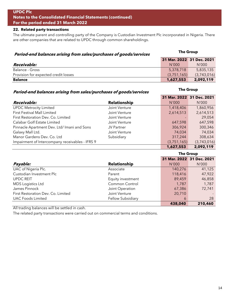# **22. Related party transactions**

The ultimate parent and controlling party of the Company is Custodian Investment Plc incorporated in Nigeria. There are other companies that are related to UPDC through common shareholdings.

| Period-end balances arising from sales/purchases of goods/services | <b>The Group</b>          |             |
|--------------------------------------------------------------------|---------------------------|-------------|
|                                                                    | 31 Mar. 2022 31 Dec. 2021 |             |
| Receivable:                                                        | N'000                     | N'000       |
| Balance - Gross                                                    | 5,378,718                 | 5,835,135   |
| Provision for expected credit losses                               | (3,751,165)               | (3,743,016) |
| <b>Balance</b>                                                     | 1,627,553                 | 2,092,119   |

# **Period-end balances arising from sales/purchases of goods/services**

|                                                 |                     |             | 31 Mar. 2022 31 Dec. 2021 |
|-------------------------------------------------|---------------------|-------------|---------------------------|
| Receivable:                                     | <b>Relationship</b> | N'000       | N'000                     |
| <b>UPDC Metrocity Limited</b>                   | Joint Venture       | 1,418,406   | 1,860,956                 |
| <b>First Festival Mall Limited</b>              | Joint Venture       | 2,614,513   | 2,614,513                 |
| First Restoration Dev. Co. Limited              | Joint Venture       |             | 29,054                    |
| Calabar Golf Estate Limited                     | Joint Venture       | 647,598     | 647,598                   |
| Pinnacle Apartment Dev. Ltd/ Imani and Sons     | <b>JV Partner</b>   | 306,924     | 300,346                   |
| Galaxy Mall Ltd.                                | Joint Venture       | 74,034      | 74,034                    |
| Manor Gardens Dev. Co. Ltd                      | Subsidiary          | 317,244     | 308,634                   |
| Impairment of Intercompany receivables - IFRS 9 |                     | (3,751,165) | (3,743,016)               |
|                                                 |                     | 1,627,553   | 2,092,119                 |

|                                    |                          |         | <b>The Group</b>          |  |
|------------------------------------|--------------------------|---------|---------------------------|--|
|                                    |                          |         | 31 Mar. 2022 31 Dec. 2021 |  |
| Payable:                           | Relationship             | N'000   | N'000                     |  |
| UAC of Nigeria Plc.                | Associate                | 140,276 | 41,125                    |  |
| Custodian Investment Plc           | Parent                   | 118,416 | 47,922                    |  |
| <b>UPDC REIT</b>                   | Equity investment        | 89,459  | 46,858                    |  |
| <b>MDS</b> Logistics Ltd           | Common Control           | 1,787   | 1,787                     |  |
| James Pinnock                      | Joint Operation          | 67,386  | 72,741                    |  |
| First Restoration Dev. Co. Limited | Joint Venture            | 20,710  |                           |  |
| <b>UAC Foods Limited</b>           | <b>Fellow Subsidiary</b> | 6       | 28                        |  |
|                                    |                          | 438,040 | 210,460                   |  |

All trading balances will be settled in cash.

The related party transactions were carried out on commercial terms and conditions.

**The Group**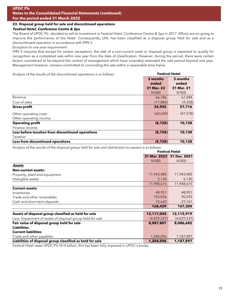## **23. Disposal group held for sale and discontinued operations**

# **Festival Hotel, Conference Centre & Spa**

The Board of UPDC Plc. decided to sell its investment in Festival Hotel, Conference Centre & Spa in 2017. Efforts are on going to improve the performance of the Hotel. Consequently, UHL has been classified as a disposal group held for sale and as a discountinued operation in accordance with IFRS 5

*Exception to one year requirement:*

IFRS 5 requires that except for certain exceptions, the sale of a non-current asset or disposal group is expected to qualify for recognition as a completed sale within one year from the date of classification. However, during the period, there were certain factors considered to be beyond the control of management which have invariably extended the sale period beyond one year. Management however, remains committed to concluding the sale within a reasonable time frame.

Analysis of the results of the discontinued operations is as follows: **Festival Hotel** 

|                                                   | 3 months<br>ended | 3 months<br>ended |
|---------------------------------------------------|-------------------|-------------------|
|                                                   | 31 Mar. 22        | 31 Mar. 21        |
|                                                   | N'000             | N'000             |
| Revenue                                           | 66,786            | 67,044            |
| Cost of sales                                     | (11, 884)         | (9,328)           |
| <b>Gross profit</b>                               | 54,902            | 57,716            |
| Other operating costs                             | (63, 630)         | (47, 578)         |
| Other operating income                            |                   |                   |
| <b>Operating profit</b>                           | (8,728)           | 10,138            |
| Finance income                                    |                   |                   |
| Loss before taxation from discontinued operations | (8,728)           | 10,138            |
| Taxation                                          |                   |                   |
| Loss from discontinued operations                 | (8,728)           | 10,138            |

*Analysis of the results of the disposal group held for sale and distribution to owners is as follows:*

|                                                            | <b>Festival Hotel</b> |                           |  |
|------------------------------------------------------------|-----------------------|---------------------------|--|
|                                                            |                       | 31 Mar. 2022 31 Dec. 2021 |  |
|                                                            | N'000                 | N'000                     |  |
| Assets                                                     |                       |                           |  |
| <b>Non-current assets:</b>                                 |                       |                           |  |
| Property, plant and equipment                              | 11,943,485            | 11,943,485                |  |
| Intangible assets                                          | 5,130                 | 5,130                     |  |
|                                                            | 11,948,615            | 11,948,615                |  |
| <b>Current assets:</b>                                     |                       |                           |  |
| Inventories                                                | 48,951                | 48,951                    |  |
| Trade and other receivables                                | 103,836               | 90,592                    |  |
| Cash and short-term deposits                               | 15,642                | 27,761                    |  |
|                                                            | 168,429               | 167,304                   |  |
| Assets of disposal group classified as held for sale       | 12,117,044            | 12,115,919                |  |
| Less: Impairment of assets of disposal group held for sale | (4,029,237)           | (4,029,237)               |  |
| Fair value of disposal group held for sale                 | 8,087,807             | 8,086,682                 |  |
| <b>Liabilities</b>                                         |                       |                           |  |
| <b>Current liabilities</b>                                 |                       |                           |  |
| Trade and other payables                                   | 1,204,096             | 1,187,897                 |  |
| Liabilities of disposal group classified as held for sale  | 1,204,096             | 1,187,897                 |  |

Festival Hotel owes UPDC Plc N14 billion, this has been fully impaired in UPDC's books.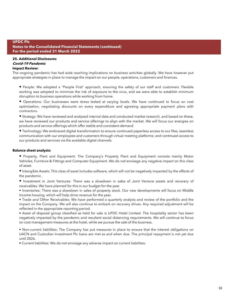#### **25. Additional Disclosures Covid-19 Pandemic**

#### **Impact Review:**

The ongoing pandemic has had wide reaching implications on business activities globally. We have however put appropriate strategies in place to manage the impact on our people, operations, customers and finances.

**•** People: We adopted a "People First" approach, ensuring the safety of our staff and customers. Flexible working was adopted to minimize the risk of exposure to the virus, and we were able to establish minimum disruption to business operations while working from home.

**•** Operations: Our businesses were stress tested at varying levels. We have continued to focus on cost optimization, negotiating discounts on every expenditure and agreeing appropriate payment plans with contractors.

**•** Strategy: We have reviewed and analyzed internal data and conducted market research, and based on these, we have reviewed our products and service offerings to align with the market. We will focus our energies on products and service offerings which offer stable and consistent demand

**•** Technology: We embraced digital transformation to ensure continued paperless access to our files, seamless communication with our employees and customers through virtual meeting platforms; and continued access to our products and services via the available digital channels.

#### **Balance sheet analysis:**

**•** Property, Plant and Equipment: The Company's Property Plant and Equipment consists mainly Motor Vehicles, Furniture & Fittings and Computer Equipment. We do not envisage any negative impact on this class of asset.

**•** Intangible Assets: This class of asset includes software, which will not be negatively impacted by the effects of the pandemic.

**•** Investment in Joint Ventures: There was a slowdown in sales of Joint Venture assets and recovery of receivables. We have planned for this in our budget for the year.

• Inventories: There was a slowdown in sales of property stock. Our new developments will focus on Middle Income housing, which will help drive revenue for the year.

• Trade and Other Receivables: We have performed a quarterly analysis and review of the portfolio and the impact on the Company. We will also continue to embark on recovery drives. Any required adjustment will be reflected in the appropriate reporting period.

• Asset of disposal group classified as held for sale is UPDC Hotel Limited. The hospitality sector has been negatively impacted by the pandemic and resultant social distancing requirements. We will continue to focus on cost management measures at the hotel, while we pursue the sale of the business.

• Non-current liabilities: The Company has put measures in place to ensure that the interest obligations on UACN and Custodian Investment Plc loans are met as and when due. The principal repayment is not yet due until 2026.

• Current liabilities: We do not envisage any adverse impact on current liabilities.